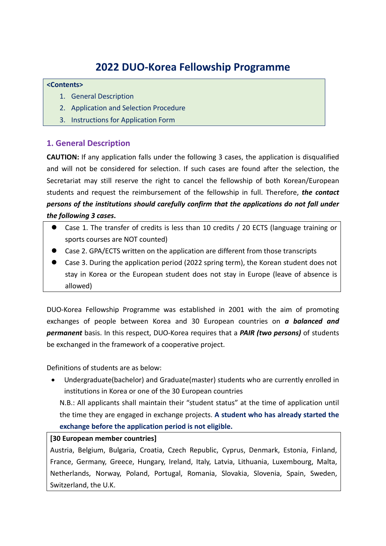# **2022 DUO‐Korea Fellowship Programme**

#### **<Contents>**

- 1. General Description
- 2. Application and Selection Procedure
- 3. Instructions for Application Form

# **1. General Description**

**CAUTION:** If any application falls under the following 3 cases, the application is disqualified and will not be considered for selection. If such cases are found after the selection, the Secretariat may still reserve the right to cancel the fellowship of both Korean/European students and request the reimbursement of the fellowship in full. Therefore, *the contact persons of the institutions should carefully confirm that the applications do not fall under the following 3 cases***.** 

- Case 1. The transfer of credits is less than 10 credits / 20 ECTS (language training or sports courses are NOT counted)
- Case 2. GPA/ECTS written on the application are different from those transcripts
- Case 3. During the application period (2022 spring term), the Korean student does not stay in Korea or the European student does not stay in Europe (leave of absence is allowed)

DUO‐Korea Fellowship Programme was established in 2001 with the aim of promoting exchanges of people between Korea and 30 European countries on *a balanced and permanent* basis. In this respect, DUO‐Korea requires that a *PAIR (two persons)* of students be exchanged in the framework of a cooperative project.

Definitions of students are as below:

 Undergraduate(bachelor) and Graduate(master) students who are currently enrolled in institutions in Korea or one of the 30 European countries

N.B.: All applicants shall maintain their "student status" at the time of application until the time they are engaged in exchange projects. **A student who has already started the exchange before the application period is not eligible.** 

### **[30 European member countries]**

Austria, Belgium, Bulgaria, Croatia, Czech Republic, Cyprus, Denmark, Estonia, Finland, France, Germany, Greece, Hungary, Ireland, Italy, Latvia, Lithuania, Luxembourg, Malta, Netherlands, Norway, Poland, Portugal, Romania, Slovakia, Slovenia, Spain, Sweden, Switzerland, the U.K.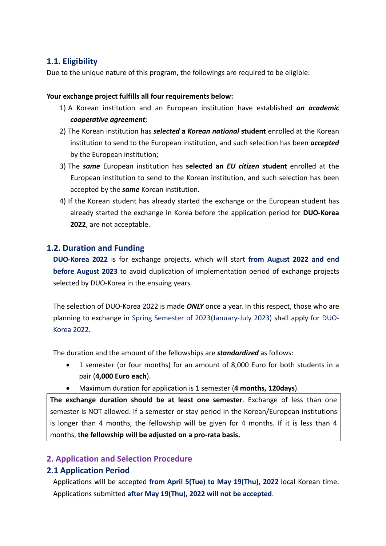# **1.1. Eligibility**

Due to the unique nature of this program, the followings are required to be eligible:

#### **Your exchange project fulfills all four requirements below:**

- 1) A Korean institution and an European institution have established *an academic cooperative agreement*;
- 2) The Korean institution has *selected* **a** *Korean national* **student** enrolled at the Korean institution to send to the European institution, and such selection has been *accepted* by the European institution;
- 3) The *same* European institution has **selected an**  *EU citizen* **student** enrolled at the European institution to send to the Korean institution, and such selection has been accepted by the *same* Korean institution.
- 4) If the Korean student has already started the exchange or the European student has already started the exchange in Korea before the application period for **DUO‐Korea 2022**, are not acceptable.

### **1.2. Duration and Funding**

**DUO‐Korea 2022** is for exchange projects, which will start **from August 2022 and end before August 2023** to avoid duplication of implementation period of exchange projects selected by DUO‐Korea in the ensuing years.

The selection of DUO‐Korea 2022 is made *ONLY* once a year. In this respect, those who are planning to exchange in Spring Semester of 2023(January‐July 2023) shall apply for DUO‐ Korea 2022.

The duration and the amount of the fellowships are *standardized* as follows:

- 1 semester (or four months) for an amount of 8,000 Euro for both students in a pair (**4,000 Euro each**).
- Maximum duration for application is 1 semester (**4 months, 120days**).

**The exchange duration should be at least one semester**. Exchange of less than one semester is NOT allowed. If a semester or stay period in the Korean/European institutions is longer than 4 months, the fellowship will be given for 4 months. If it is less than 4 months, **the fellowship will be adjusted on a pro‐rata basis.**

## **2. Application and Selection Procedure**

## **2.1 Application Period**

Applications will be accepted **from April 5(Tue) to May 19(Thu), 2022** local Korean time. Applications submitted **after May 19(Thu), 2022 will not be accepted**.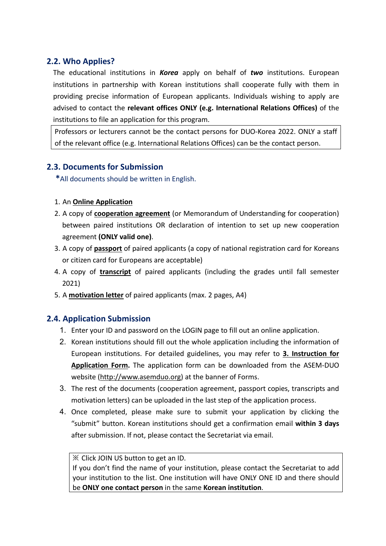# **2.2. Who Applies?**

The educational institutions in *Korea* apply on behalf of *two* institutions. European institutions in partnership with Korean institutions shall cooperate fully with them in providing precise information of European applicants. Individuals wishing to apply are advised to contact the **relevant offices ONLY (e.g. International Relations Offices)** of the institutions to file an application for this program.

Professors or lecturers cannot be the contact persons for DUO‐Korea 2022. ONLY a staff of the relevant office (e.g. International Relations Offices) can be the contact person.

# **2.3. Documents for Submission**

**\***All documents should be written in English.

### 1. An **Online Application**

- 2. A copy of **cooperation agreement** (or Memorandum of Understanding for cooperation) between paired institutions OR declaration of intention to set up new cooperation agreement **(ONLY valid one)**.
- 3. A copy of **passport** of paired applicants (a copy of national registration card for Koreans or citizen card for Europeans are acceptable)
- 4. A copy of **transcript** of paired applicants (including the grades until fall semester 2021)
- 5. A **motivation letter** of paired applicants (max. 2 pages, A4)

## **2.4. Application Submission**

- 1. Enter your ID and password on the LOGIN page to fill out an online application.
- 2. Korean institutions should fill out the whole application including the information of European institutions. For detailed guidelines, you may refer to **3. Instruction for Application Form.** The application form can be downloaded from the ASEM‐DUO website (http://www.asemduo.org) at the banner of Forms.
- 3. The rest of the documents (cooperation agreement, passport copies, transcripts and motivation letters) can be uploaded in the last step of the application process.
- 4. Once completed, please make sure to submit your application by clicking the "submit" button. Korean institutions should get a confirmation email **within 3 days** after submission. If not, please contact the Secretariat via email.

### ※ Click JOIN US button to get an ID.

If you don't find the name of your institution, please contact the Secretariat to add your institution to the list. One institution will have ONLY ONE ID and there should be **ONLY one contact person** in the same **Korean institution**.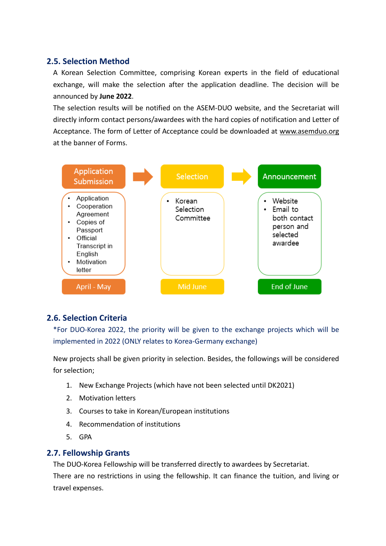## **2.5. Selection Method**

A Korean Selection Committee, comprising Korean experts in the field of educational exchange, will make the selection after the application deadline. The decision will be announced by **June 2022**.

The selection results will be notified on the ASEM‐DUO website, and the Secretariat will directly inform contact persons/awardees with the hard copies of notification and Letter of Acceptance. The form of Letter of Acceptance could be downloaded at www.asemduo.org at the banner of Forms.



## **2.6. Selection Criteria**

\*For DUO‐Korea 2022, the priority will be given to the exchange projects which will be implemented in 2022 (ONLY relates to Korea‐Germany exchange)

New projects shall be given priority in selection. Besides, the followings will be considered for selection;

- 1. New Exchange Projects (which have not been selected until DK2021)
- 2. Motivation letters
- 3. Courses to take in Korean/European institutions
- 4. Recommendation of institutions
- 5. GPA

## **2.7. Fellowship Grants**

The DUO‐Korea Fellowship will be transferred directly to awardees by Secretariat.

There are no restrictions in using the fellowship. It can finance the tuition, and living or travel expenses.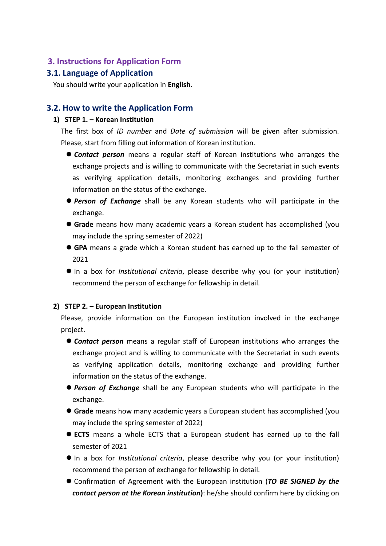### **3. Instructions for Application Form**

### **3.1. Language of Application**

You should write your application in **English**.

### **3.2. How to write the Application Form**

#### **1) STEP 1. – Korean Institution**

The first box of *ID number* and *Date of submission* will be given after submission. Please, start from filling out information of Korean institution.

- **Contact person** means a regular staff of Korean institutions who arranges the exchange projects and is willing to communicate with the Secretariat in such events as verifying application details, monitoring exchanges and providing further information on the status of the exchange.
- **Person of Exchange** shall be any Korean students who will participate in the exchange.
- **Grade** means how many academic years a Korean student has accomplished (you may include the spring semester of 2022)
- **GPA** means a grade which a Korean student has earned up to the fall semester of 2021
- In a box for *Institutional criteria*, please describe why you (or your institution) recommend the person of exchange for fellowship in detail.

#### **2) STEP 2. – European Institution**

Please, provide information on the European institution involved in the exchange project.

- **Contact person** means a regular staff of European institutions who arranges the exchange project and is willing to communicate with the Secretariat in such events as verifying application details, monitoring exchange and providing further information on the status of the exchange.
- **Person of Exchange** shall be any European students who will participate in the exchange.
- **Grade** means how many academic years a European student has accomplished (you may include the spring semester of 2022)
- **ECTS** means a whole ECTS that a European student has earned up to the fall semester of 2021
- In a box for *Institutional criteria*, please describe why you (or your institution) recommend the person of exchange for fellowship in detail.
- Confirmation of Agreement with the European institution (*TO BE SIGNED by the contact person at the Korean institution***)**: he/she should confirm here by clicking on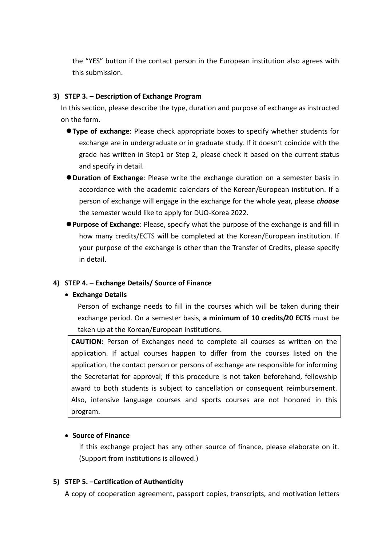the "YES" button if the contact person in the European institution also agrees with this submission.

#### **3) STEP 3. – Description of Exchange Program**

In this section, please describe the type, duration and purpose of exchange as instructed on the form.

- **Type of exchange**: Please check appropriate boxes to specify whether students for exchange are in undergraduate or in graduate study. If it doesn't coincide with the grade has written in Step1 or Step 2, please check it based on the current status and specify in detail.
- **Ouration of Exchange**: Please write the exchange duration on a semester basis in accordance with the academic calendars of the Korean/European institution. If a person of exchange will engage in the exchange for the whole year, please *choose* the semester would like to apply for DUO‐Korea 2022.
- **Purpose of Exchange**: Please, specify what the purpose of the exchange is and fill in how many credits/ECTS will be completed at the Korean/European institution. If your purpose of the exchange is other than the Transfer of Credits, please specify in detail.

### **4) STEP 4. – Exchange Details/ Source of Finance**

### **Exchange Details**

Person of exchange needs to fill in the courses which will be taken during their exchange period. On a semester basis, **a minimum of 10 credits/20 ECTS** must be taken up at the Korean/European institutions.

**CAUTION:** Person of Exchanges need to complete all courses as written on the application. If actual courses happen to differ from the courses listed on the application, the contact person or persons of exchange are responsible for informing the Secretariat for approval; if this procedure is not taken beforehand, fellowship award to both students is subject to cancellation or consequent reimbursement. Also, intensive language courses and sports courses are not honored in this program.

### **Source of Finance**

If this exchange project has any other source of finance, please elaborate on it. (Support from institutions is allowed.)

### **5) STEP 5. –Certification of Authenticity**

A copy of cooperation agreement, passport copies, transcripts, and motivation letters